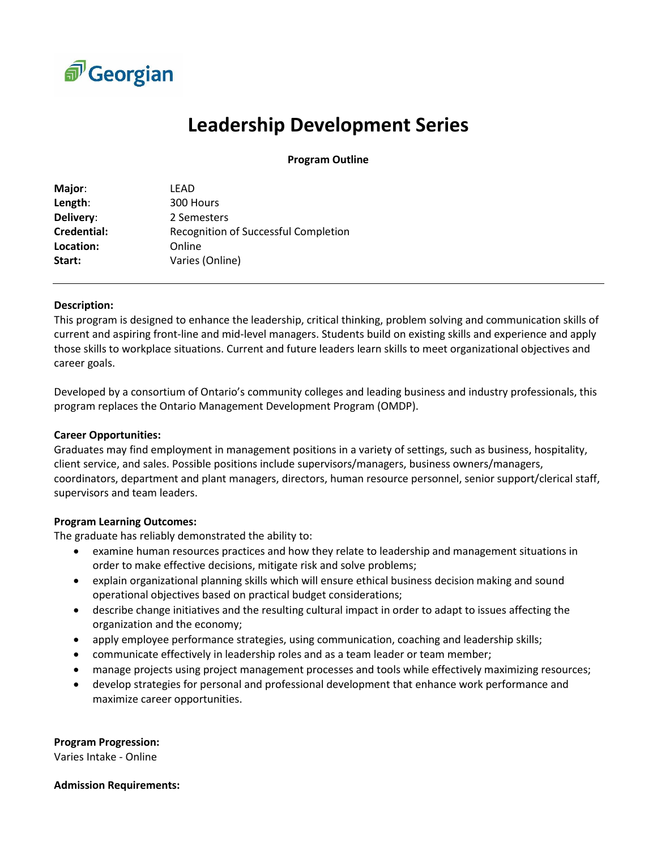

# **Leadership Development Series**

**Program Outline**

| LEAD                                 |
|--------------------------------------|
| 300 Hours                            |
| 2 Semesters                          |
| Recognition of Successful Completion |
| Online                               |
| Varies (Online)                      |
|                                      |

#### **Description:**

This program is designed to enhance the leadership, critical thinking, problem solving and communication skills of current and aspiring front-line and mid-level managers. Students build on existing skills and experience and apply those skills to workplace situations. Current and future leaders learn skills to meet organizational objectives and career goals.

Developed by a consortium of Ontario's community colleges and leading business and industry professionals, this program replaces the Ontario Management Development Program (OMDP).

### **Career Opportunities:**

Graduates may find employment in management positions in a variety of settings, such as business, hospitality, client service, and sales. Possible positions include supervisors/managers, business owners/managers, coordinators, department and plant managers, directors, human resource personnel, senior support/clerical staff, supervisors and team leaders.

### **Program Learning Outcomes:**

The graduate has reliably demonstrated the ability to:

- examine human resources practices and how they relate to leadership and management situations in order to make effective decisions, mitigate risk and solve problems;
- explain organizational planning skills which will ensure ethical business decision making and sound operational objectives based on practical budget considerations;
- describe change initiatives and the resulting cultural impact in order to adapt to issues affecting the organization and the economy;
- apply employee performance strategies, using communication, coaching and leadership skills;
- communicate effectively in leadership roles and as a team leader or team member;
- manage projects using project management processes and tools while effectively maximizing resources;
- develop strategies for personal and professional development that enhance work performance and maximize career opportunities.

#### **Program Progression:**

Varies Intake - Online

#### **Admission Requirements:**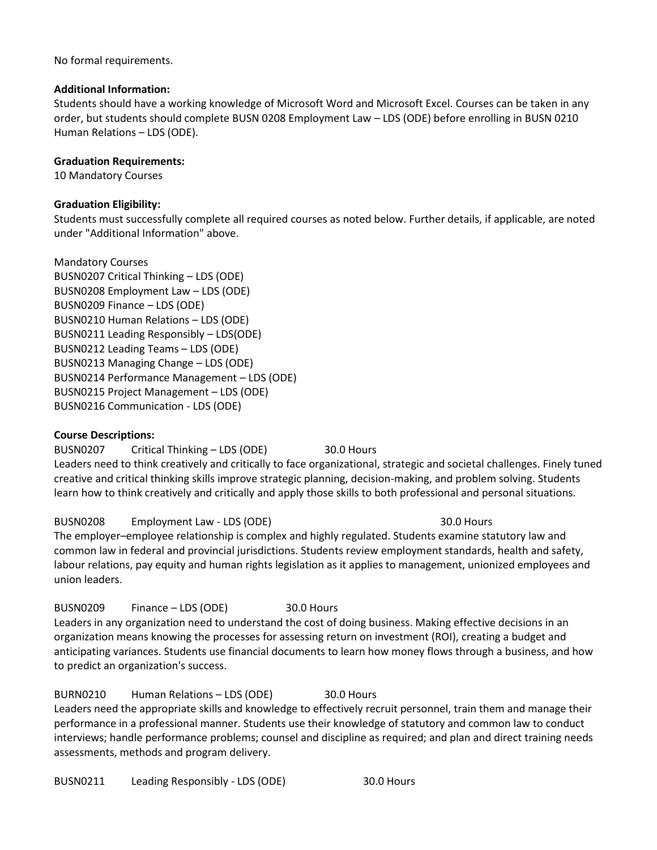No formal requirements.

#### **Additional Information:**

Students should have a working knowledge of Microsoft Word and Microsoft Excel. Courses can be taken in any order, but students should complete BUSN 0208 Employment Law – LDS (ODE) before enrolling in BUSN 0210 Human Relations – LDS (ODE).

### **Graduation Requirements:**

10 Mandatory Courses

### **Graduation Eligibility:**

Students must successfully complete all required courses as noted below. Further details, if applicable, are noted under "Additional Information" above.

Mandatory Courses BUSN0207 Critical Thinking – LDS (ODE) BUSN0208 Employment Law – LDS (ODE) BUSN0209 Finance – LDS (ODE) BUSN0210 Human Relations – LDS (ODE) BUSN0211 Leading Responsibly – LDS(ODE) BUSN0212 Leading Teams – LDS (ODE) BUSN0213 Managing Change – LDS (ODE) BUSN0214 Performance Management – LDS (ODE) BUSN0215 Project Management – LDS (ODE) BUSN0216 Communication - LDS (ODE)

### **Course Descriptions:**

BUSN0207 Critical Thinking – LDS (ODE) 30.0 Hours Leaders need to think creatively and critically to face organizational, strategic and societal challenges. Finely tuned creative and critical thinking skills improve strategic planning, decision-making, and problem solving. Students learn how to think creatively and critically and apply those skills to both professional and personal situations.

### BUSN0208 Employment Law - LDS (ODE) 30.0 Hours

The employer–employee relationship is complex and highly regulated. Students examine statutory law and common law in federal and provincial jurisdictions. Students review employment standards, health and safety, labour relations, pay equity and human rights legislation as it applies to management, unionized employees and union leaders.

BUSN0209 Finance – LDS (ODE) 30.0 Hours Leaders in any organization need to understand the cost of doing business. Making effective decisions in an organization means knowing the processes for assessing return on investment (ROI), creating a budget and anticipating variances. Students use financial documents to learn how money flows through a business, and how to predict an organization's success.

### BURN0210 Human Relations – LDS (ODE) 30.0 Hours

Leaders need the appropriate skills and knowledge to effectively recruit personnel, train them and manage their performance in a professional manner. Students use their knowledge of statutory and common law to conduct interviews; handle performance problems; counsel and discipline as required; and plan and direct training needs assessments, methods and program delivery.